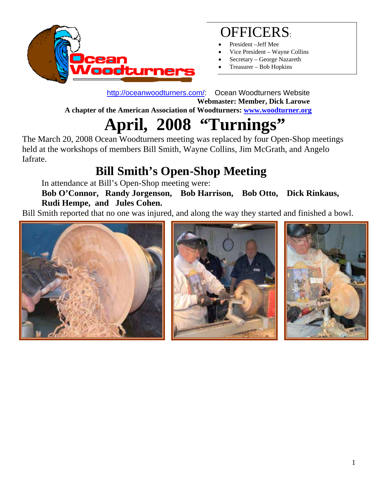

## OFFICERS:

- President -Jeff Mee
- Vice President Wayne Collins
- Secretary George Nazareth
- Treasurer Bob Hopkins

 http://oceanwoodturners.com/: Ocean Woodturners Website **Webmaster: Member, Dick Larowe** 

 **A chapter of the American Association of Woodturners: www.woodturner.org** 

# **April, 2008 "Turnings"**

The March 20, 2008 Ocean Woodturners meeting was replaced by four Open-Shop meetings held at the workshops of members Bill Smith, Wayne Collins, Jim McGrath, and Angelo Iafrate.

# **Bill Smith's Open-Shop Meeting**

In attendance at Bill's Open-Shop meeting were:

 **Bob O'Connor, Randy Jorgenson, Bob Harrison, Bob Otto, Dick Rinkaus, Rudi Hempe, and Jules Cohen.** 

Bill Smith reported that no one was injured, and along the way they started and finished a bowl.





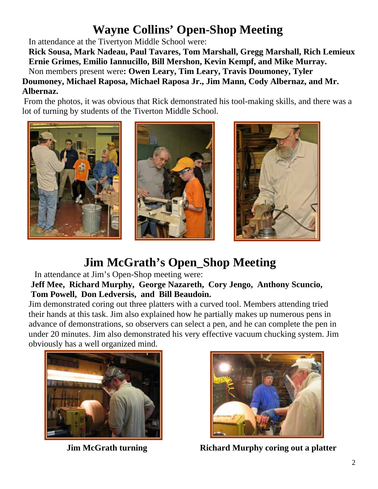#### **Wayne Collins' Open-Shop Meeting**

In attendance at the Tivertyon Middle School were:

 **Rick Sousa, Mark Nadeau, Paul Tavares, Tom Marshall, Gregg Marshall, Rich Lemieux Ernie Grimes, Emilio Iannucillo, Bill Mershon, Kevin Kempf, and Mike Murray.** 

Non members present were**: Owen Leary, Tim Leary, Travis Doumoney, Tyler Doumoney, Michael Raposa, Michael Raposa Jr., Jim Mann, Cody Albernaz, and Mr. Albernaz.** 

From the photos, it was obvious that Rick demonstrated his tool-making skills, and there was a lot of turning by students of the Tiverton Middle School.



### **Jim McGrath's Open\_Shop Meeting**

In attendance at Jim's Open-Shop meeting were:

 **Jeff Mee, Richard Murphy, George Nazareth, Cory Jengo, Anthony Scuncio, Tom Powell, Don Ledversis, and Bill Beaudoin.** 

Jim demonstrated coring out three platters with a curved tool. Members attending tried their hands at this task. Jim also explained how he partially makes up numerous pens in advance of demonstrations, so observers can select a pen, and he can complete the pen in under 20 minutes. Jim also demonstrated his very effective vacuum chucking system. Jim obviously has a well organized mind.





**Jim McGrath turning Richard Murphy coring out a platter**